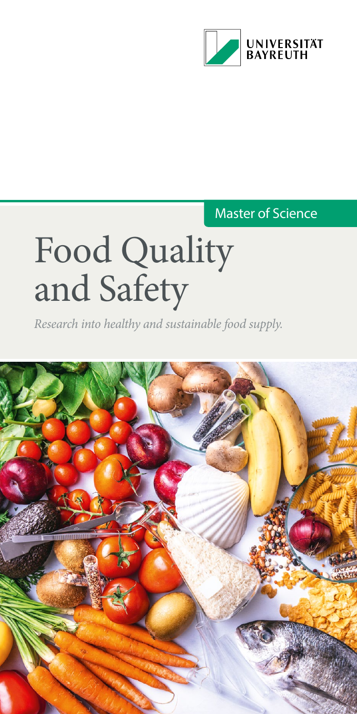

### Master of Science

# Food Quality and Safety

*Research into healthy and sustainable food supply.*

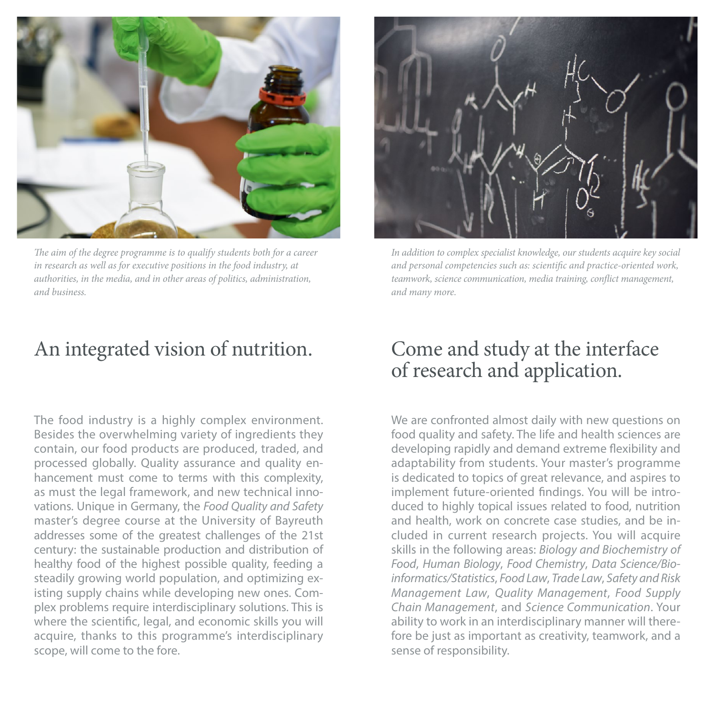

*The aim of the degree programme is to qualify students both for a career in research as well as for executive positions in the food industry, at authorities, in the media, and in other areas of politics, administration, and business.*

# An integrated vision of nutrition.

The food industry is a highly complex environment. Besides the overwhelming variety of ingredients they contain, our food products are produced, traded, and processed globally. Quality assurance and quality enhancement must come to terms with this complexity, as must the legal framework, and new technical innovations. Unique in Germany, the *Food Quality and Safety* master's degree course at the University of Bayreuth addresses some of the greatest challenges of the 21st century: the sustainable production and distribution of healthy food of the highest possible quality, feeding a steadily growing world population, and optimizing existing supply chains while developing new ones. Complex problems require interdisciplinary solutions. This is where the scientific, legal, and economic skills you will acquire, thanks to this programme's interdisciplinary scope, will come to the fore.



*In addition to complex specialist knowledge, our students acquire key social and personal competencies such as: scientific and practice-oriented work, teamwork, science communication, media training, conflict management, and many more.*

# Come and study at the interface of research and application.

We are confronted almost daily with new questions on food quality and safety. The life and health sciences are developing rapidly and demand extreme flexibility and adaptability from students. Your master's programme is dedicated to topics of great relevance, and aspires to implement future-oriented findings. You will be introduced to highly topical issues related to food, nutrition and health, work on concrete case studies, and be included in current research projects. You will acquire skills in the following areas: *Biology and Biochemistry of Food*, *Human Biology*, *Food Chemistry*, *Data Science/Bioinformatics/Statistics*, *Food Law*, *Trade Law*, *Safety and Risk Management Law*, *Quality Management*, *Food Supply Chain Management*, and *Science Communication*. Your ability to work in an interdisciplinary manner will therefore be just as important as creativity, teamwork, and a sense of responsibility.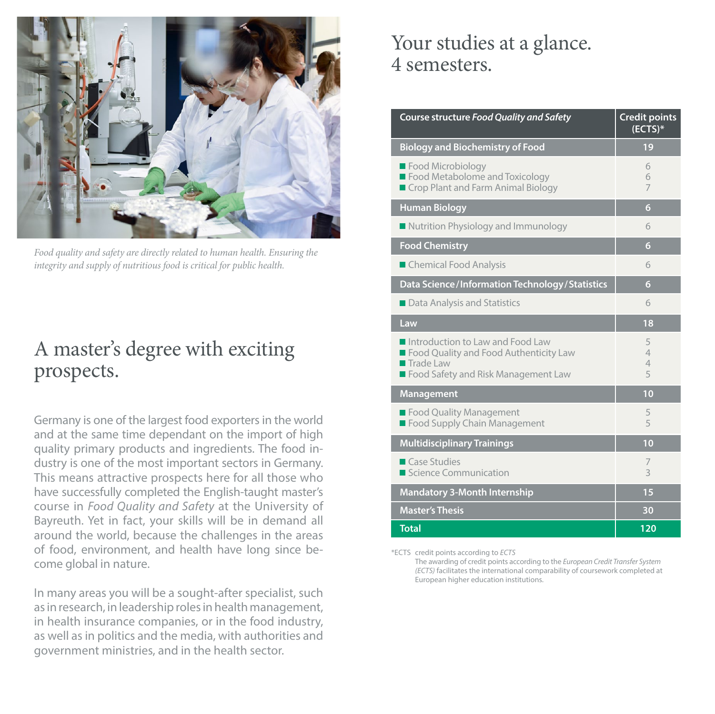

*Food quality and safety are directly related to human health. Ensuring the integrity and supply of nutritious food is critical for public health.*

# A master's degree with exciting prospects.

Germany is one of the largest food exporters in the world and at the same time dependant on the import of high quality primary products and ingredients. The food industry is one of the most important sectors in Germany. This means attractive prospects here for all those who have successfully completed the English-taught master's course in *Food Quality and Safety* at the University of Bayreuth. Yet in fact, your skills will be in demand all around the world, because the challenges in the areas of food, environment, and health have long since become global in nature.

In many areas you will be a sought-after specialist, such as in research, in leadership roles in health management, in health insurance companies, or in the food industry, as well as in politics and the media, with authorities and government ministries, and in the health sector.

# Your studies at a glance. 4 semesters.

| Course structure Food Quality and Safety                                                                                                               | <b>Credit points</b><br>$(ECTS)*$ |
|--------------------------------------------------------------------------------------------------------------------------------------------------------|-----------------------------------|
| <b>Biology and Biochemistry of Food</b>                                                                                                                | 19                                |
| Food Microbiology<br>Food Metabolome and Toxicology<br>Crop Plant and Farm Animal Biology                                                              | 6<br>6<br>$\overline{7}$          |
| <b>Human Biology</b>                                                                                                                                   | 6                                 |
| ■ Nutrition Physiology and Immunology                                                                                                                  | 6                                 |
| <b>Food Chemistry</b>                                                                                                                                  | 6                                 |
| Chemical Food Analysis                                                                                                                                 | 6                                 |
| Data Science/Information Technology/Statistics                                                                                                         | 6                                 |
| Data Analysis and Statistics                                                                                                                           | 6                                 |
| Law                                                                                                                                                    | 18                                |
| Introduction to Law and Food Law<br>Food Quality and Food Authenticity Law<br>$\blacksquare$ Trade Law<br><b>E</b> Food Safety and Risk Management Law | 5<br>$\overline{4}$<br>4<br>5     |
| Management                                                                                                                                             | 10                                |
| Food Quality Management<br>Food Supply Chain Management                                                                                                | 5<br>5                            |
| <b>Multidisciplinary Trainings</b>                                                                                                                     | 10                                |
| <b>Case Studies</b><br>Science Communication                                                                                                           | 7<br>3                            |
| <b>Mandatory 3-Month Internship</b>                                                                                                                    | 15                                |
| <b>Master's Thesis</b>                                                                                                                                 | 30                                |
| <b>Total</b>                                                                                                                                           | 120                               |

\*ECTS credit points according to *ECTS*

The awarding of credit points according to the *European Credit Transfer System (ECTS)* facilitates the international comparability of coursework completed at European higher education institutions.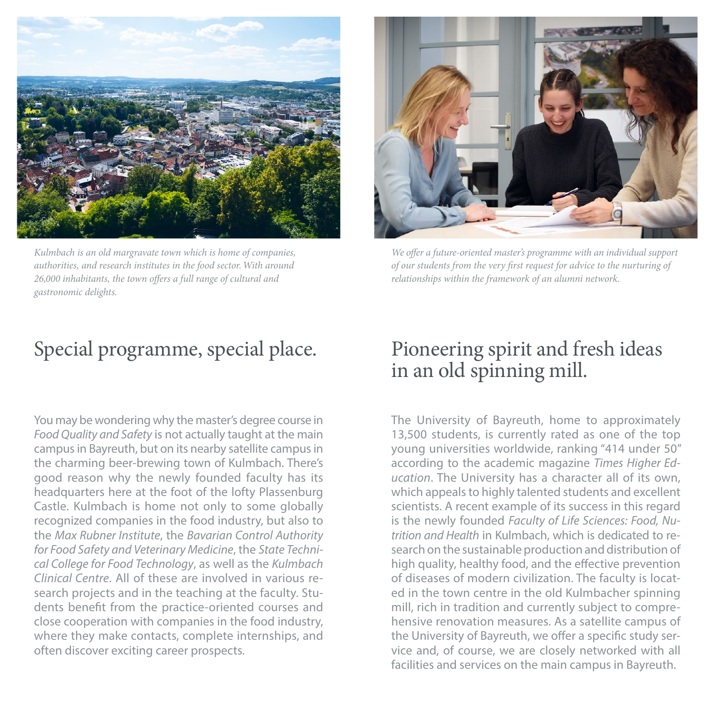

*Kulmbach is an old margravate town which is home of companies, authorities, and research institutes in the food sector. With around 26,000 inhabitants, the town offers a full range of cultural and gastronomic delights.*



*We offer a future-oriented master's programme with an individual support of our students from the very first request for advice to the nurturing of relationships within the framework of an alumni network.*

# Special programme, special place.

You may be wondering why the master's degree course in *Food Quality and Safety* is not actually taught at the main campus in Bayreuth, but on its nearby satellite campus in the charming beer-brewing town of Kulmbach. There's good reason why the newly founded faculty has its headquarters here at the foot of the lofty Plassenburg Castle. Kulmbach is home not only to some globally recognized companies in the food industry, but also to the *Max Rubner Institute*, the *Bavarian Control Authority for Food Safety and Veterinary Medicine*, the *State Technical College for Food Technology*, as well as the *Kulmbach Clinical Centre*. All of these are involved in various research projects and in the teaching at the faculty. Students benefit from the practice-oriented courses and close cooperation with companies in the food industry, where they make contacts, complete internships, and often discover exciting career prospects.

## Pioneering spirit and fresh ideas in an old spinning mill.

The University of Bayreuth, home to approximately 13,500 students, is currently rated as one of the top young universities worldwide, ranking "414 under 50" according to the academic magazine *Times Higher Education*. The University has a character all of its own, which appeals to highly talented students and excellent scientists. A recent example of its success in this regard is the newly founded *Faculty of Life Sciences: Food, Nutrition and Health* in Kulmbach, which is dedicated to research on the sustainable production and distribution of high quality, healthy food, and the effective prevention of diseases of modern civilization. The faculty is located in the town centre in the old Kulmbacher spinning mill, rich in tradition and currently subject to comprehensive renovation measures. As a satellite campus of the University of Bayreuth, we offer a specific study service and, of course, we are closely networked with all facilities and services on the main campus in Bayreuth.